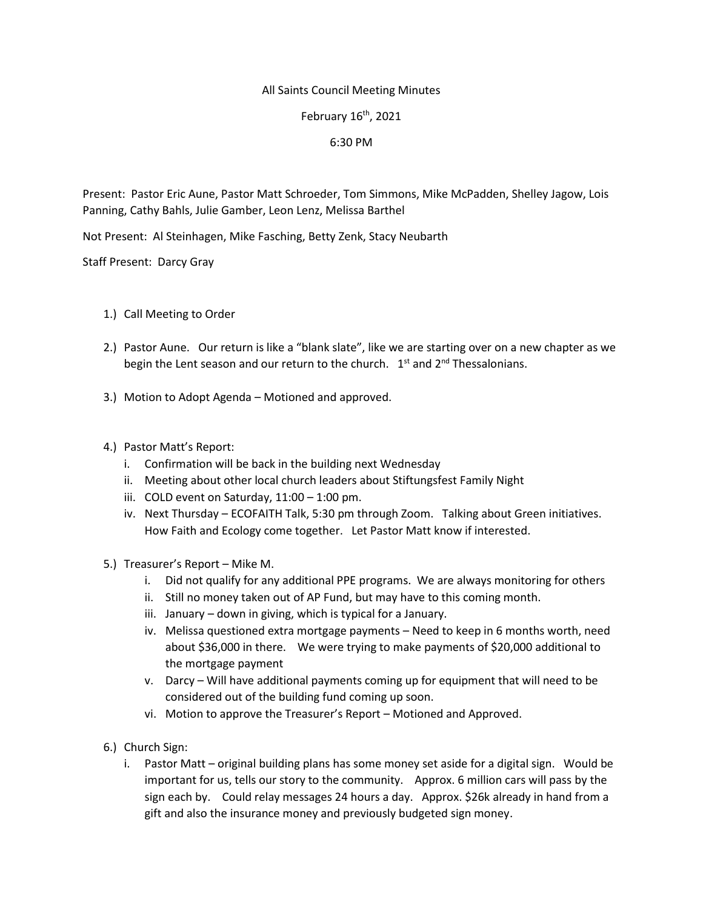## All Saints Council Meeting Minutes

February 16th, 2021

## 6:30 PM

Present: Pastor Eric Aune, Pastor Matt Schroeder, Tom Simmons, Mike McPadden, Shelley Jagow, Lois Panning, Cathy Bahls, Julie Gamber, Leon Lenz, Melissa Barthel

Not Present: Al Steinhagen, Mike Fasching, Betty Zenk, Stacy Neubarth

Staff Present: Darcy Gray

- 1.) Call Meeting to Order
- 2.) Pastor Aune. Our return is like a "blank slate", like we are starting over on a new chapter as we begin the Lent season and our return to the church.  $1<sup>st</sup>$  and  $2<sup>nd</sup>$  Thessalonians.
- 3.) Motion to Adopt Agenda Motioned and approved.
- 4.) Pastor Matt's Report:
	- i. Confirmation will be back in the building next Wednesday
	- ii. Meeting about other local church leaders about Stiftungsfest Family Night
	- iii. COLD event on Saturday, 11:00 1:00 pm.
	- iv. Next Thursday ECOFAITH Talk, 5:30 pm through Zoom. Talking about Green initiatives. How Faith and Ecology come together. Let Pastor Matt know if interested.
- 5.) Treasurer's Report Mike M.
	- i. Did not qualify for any additional PPE programs. We are always monitoring for others
	- ii. Still no money taken out of AP Fund, but may have to this coming month.
	- iii. January down in giving, which is typical for a January.
	- iv. Melissa questioned extra mortgage payments Need to keep in 6 months worth, need about \$36,000 in there. We were trying to make payments of \$20,000 additional to the mortgage payment
	- v. Darcy Will have additional payments coming up for equipment that will need to be considered out of the building fund coming up soon.
	- vi. Motion to approve the Treasurer's Report Motioned and Approved.
- 6.) Church Sign:
	- i. Pastor Matt original building plans has some money set aside for a digital sign. Would be important for us, tells our story to the community. Approx. 6 million cars will pass by the sign each by. Could relay messages 24 hours a day. Approx. \$26k already in hand from a gift and also the insurance money and previously budgeted sign money.